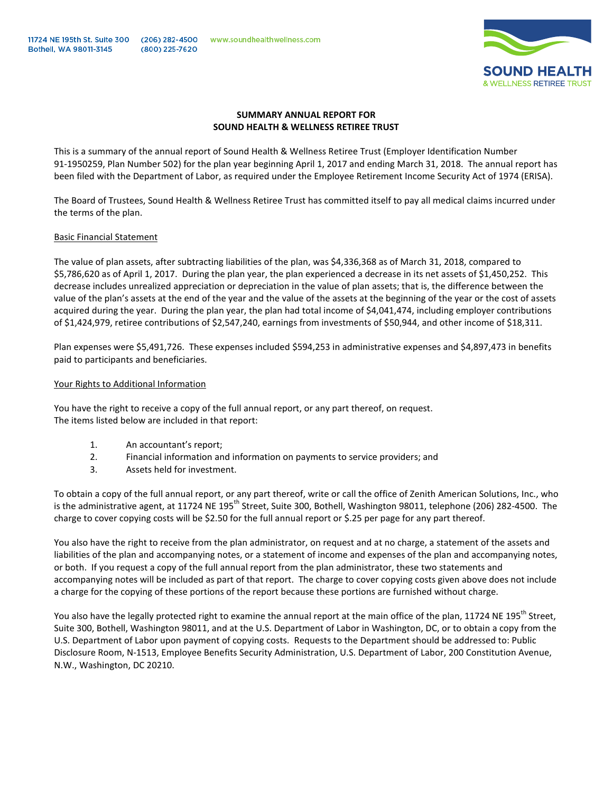

### **SUMMARY ANNUAL REPORT FOR SOUND HEALTH & WELLNESS RETIREE TRUST**

This is a summary of the annual report of Sound Health & Wellness Retiree Trust (Employer Identification Number 91-1950259, Plan Number 502) for the plan year beginning April 1, 2017 and ending March 31, 2018. The annual report has been filed with the Department of Labor, as required under the Employee Retirement Income Security Act of 1974 (ERISA).

The Board of Trustees, Sound Health & Wellness Retiree Trust has committed itself to pay all medical claims incurred under the terms of the plan.

### Basic Financial Statement

The value of plan assets, after subtracting liabilities of the plan, was \$4,336,368 as of March 31, 2018, compared to \$5,786,620 as of April 1, 2017. During the plan year, the plan experienced a decrease in its net assets of \$1,450,252. This decrease includes unrealized appreciation or depreciation in the value of plan assets; that is, the difference between the value of the plan's assets at the end of the year and the value of the assets at the beginning of the year or the cost of assets acquired during the year. During the plan year, the plan had total income of \$4,041,474, including employer contributions of \$1,424,979, retiree contributions of \$2,547,240, earnings from investments of \$50,944, and other income of \$18,311.

Plan expenses were \$5,491,726. These expenses included \$594,253 in administrative expenses and \$4,897,473 in benefits paid to participants and beneficiaries.

### Your Rights to Additional Information

You have the right to receive a copy of the full annual report, or any part thereof, on request. The items listed below are included in that report:

- 1. An accountant's report;
- 2. Financial information and information on payments to service providers; and
- 3. Assets held for investment.

To obtain a copy of the full annual report, or any part thereof, write or call the office of Zenith American Solutions, Inc., who is the administrative agent, at 11724 NE 195<sup>th</sup> Street, Suite 300, Bothell, Washington 98011, telephone (206) 282-4500. The charge to cover copying costs will be \$2.50 for the full annual report or \$.25 per page for any part thereof.

You also have the right to receive from the plan administrator, on request and at no charge, a statement of the assets and liabilities of the plan and accompanying notes, or a statement of income and expenses of the plan and accompanying notes, or both. If you request a copy of the full annual report from the plan administrator, these two statements and accompanying notes will be included as part of that report. The charge to cover copying costs given above does not include a charge for the copying of these portions of the report because these portions are furnished without charge.

You also have the legally protected right to examine the annual report at the main office of the plan, 11724 NE 195<sup>th</sup> Street, Suite 300, Bothell, Washington 98011, and at the U.S. Department of Labor in Washington, DC, or to obtain a copy from the U.S. Department of Labor upon payment of copying costs. Requests to the Department should be addressed to: Public Disclosure Room, N-1513, Employee Benefits Security Administration, U.S. Department of Labor, 200 Constitution Avenue, N.W., Washington, DC 20210.